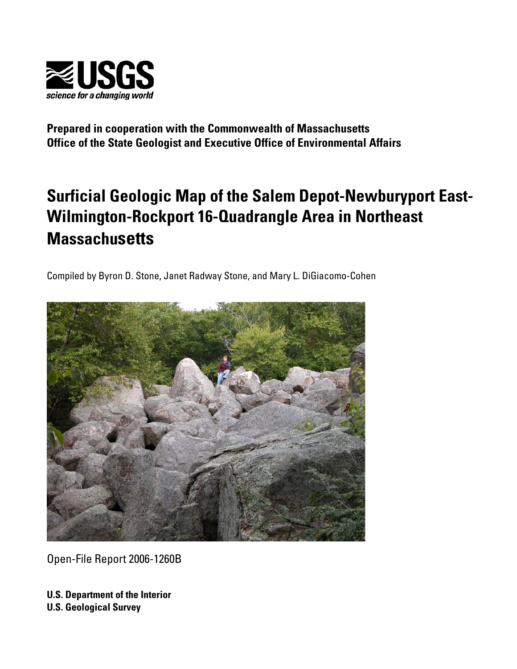

**Prepared in cooperation with the Commonwealth of Massachusetts Office of the State Geologist and Executive Office of Environmental Affairs** 

# **Surficial Geologic Map of the Salem Depot-Newburyport East-Wilmington-Rockport 16-Quadrangle Area in Northeast Massachusetts**

Compiled by Byron D. Stone, Janet Radway Stone, and Mary L. DiGiacomo-Cohen



Open-File Report 2006-1260B

**U.S. Department of the Interior U.S. Geological Survey**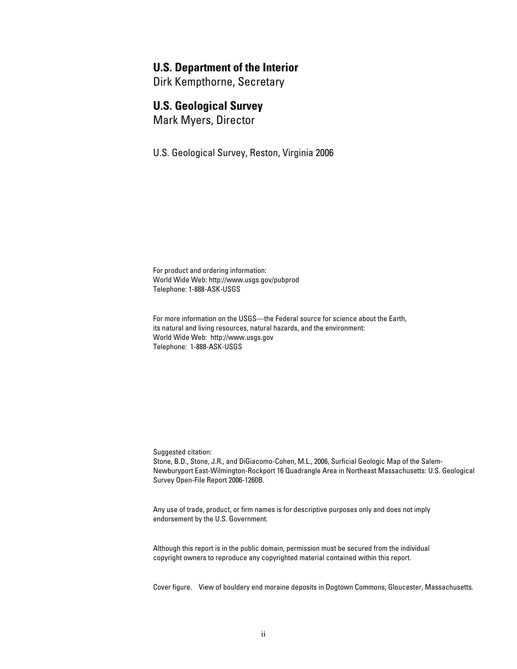### **U.S. Department of the Interior**

Dirk Kempthorne, Secretary

### **U.S. Geological Survey**

Mark Myers, Director

U.S. Geological Survey, Reston, Virginia 2006

For product and ordering information: World Wide Web: http://www.usgs.gov/pubprod Telephone: 1-888-ASK-USGS

For more information on the USGS—the Federal source for science about the Earth, its natural and living resources, natural hazards, and the environment: World Wide Web: http://www.usgs.gov Telephone: 1-888-ASK-USGS

Suggested citation:

Stone, B.D., Stone, J.R., and DiGiacomo-Cohen, M.L., 2006, Surficial Geologic Map of the Salem- Newburyport East-Wilmington-Rockport 16 Quadrangle Area in Northeast Massachusetts: U.S. Geological Survey Open-File Report 2006-1260B.

Any use of trade, product, or firm names is for descriptive purposes only and does not imply endorsement by the U.S. Government.

Although this report is in the public domain, permission must be secured from the individual copyright owners to reproduce any copyrighted material contained within this report.

Cover figure. View of bouldery end moraine deposits in Dogtown Commons, Gloucester, Massachusetts.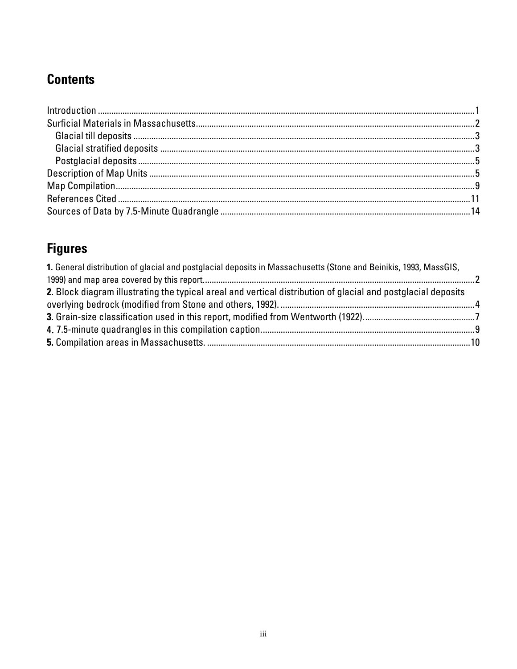## **Contents**

# **Figures**

| 1. General distribution of glacial and postglacial deposits in Massachusetts (Stone and Beinikis, 1993, MassGIS, |  |
|------------------------------------------------------------------------------------------------------------------|--|
|                                                                                                                  |  |
| 2. Block diagram illustrating the typical areal and vertical distribution of glacial and postglacial deposits    |  |
|                                                                                                                  |  |
|                                                                                                                  |  |
|                                                                                                                  |  |
|                                                                                                                  |  |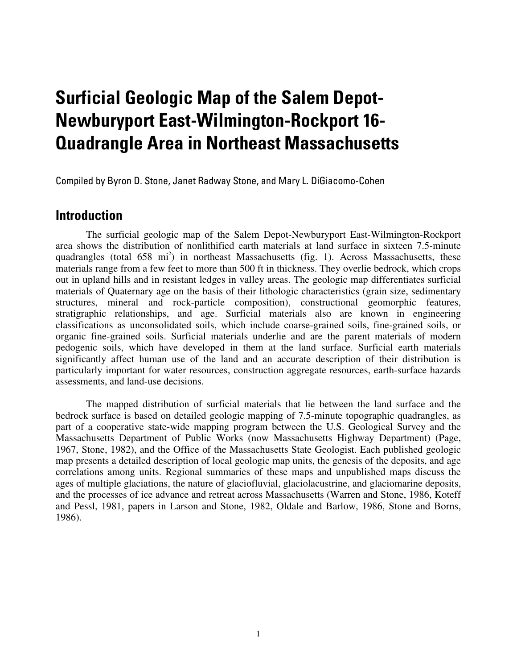# **Surficial Geologic Map of the Salem Depot-Newburyport East-Wilmington-Rockport 16 Quadrangle Area in Northeast Massachusetts**

Compiled by Byron D. Stone, Janet Radway Stone, and Mary L. DiGiacomo-Cohen

### **Introduction**

The surficial geologic map of the Salem Depot-Newburyport East-Wilmington-Rockport area shows the distribution of nonlithified earth materials at land surface in sixteen 7.5-minute quadrangles (total  $658 \text{ mi}^2$ ) in northeast Massachusetts (fig. 1). Across Massachusetts, these materials range from a few feet to more than 500 ft in thickness. They overlie bedrock, which crops out in upland hills and in resistant ledges in valley areas. The geologic map differentiates surficial materials of Quaternary age on the basis of their lithologic characteristics (grain size, sedimentary structures, mineral and rock-particle composition), constructional geomorphic features, stratigraphic relationships, and age. Surficial materials also are known in engineering classifications as unconsolidated soils, which include coarse-grained soils, fine-grained soils, or organic fine-grained soils. Surficial materials underlie and are the parent materials of modern pedogenic soils, which have developed in them at the land surface. Surficial earth materials significantly affect human use of the land and an accurate description of their distribution is particularly important for water resources, construction aggregate resources, earth-surface hazards assessments, and land-use decisions.

The mapped distribution of surficial materials that lie between the land surface and the bedrock surface is based on detailed geologic mapping of 7.5-minute topographic quadrangles, as part of a cooperative state-wide mapping program between the U.S. Geological Survey and the Massachusetts Department of Public Works (now Massachusetts Highway Department) (Page, 1967, Stone, 1982), and the Office of the Massachusetts State Geologist. Each published geologic map presents a detailed description of local geologic map units, the genesis of the deposits, and age correlations among units. Regional summaries of these maps and unpublished maps discuss the ages of multiple glaciations, the nature of glaciofluvial, glaciolacustrine, and glaciomarine deposits, and the processes of ice advance and retreat across Massachusetts (Warren and Stone, 1986, Koteff and Pessl, 1981, papers in Larson and Stone, 1982, Oldale and Barlow, 1986, Stone and Borns, 1986).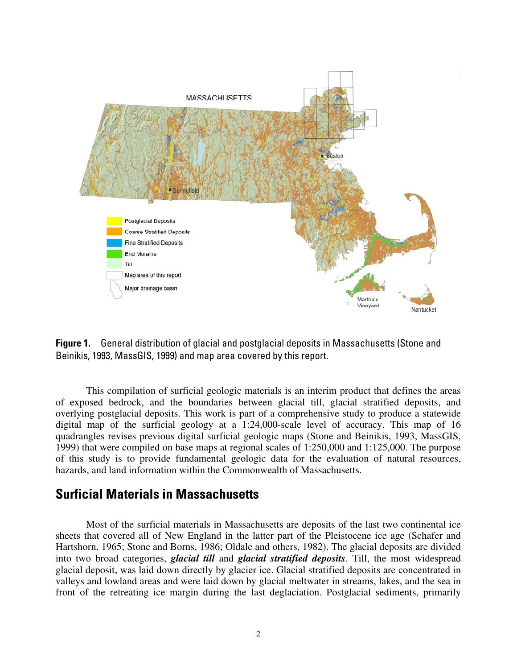

**Figure 1.** General distribution of glacial and postglacial deposits in Massachusetts (Stone and Beinikis, 1993, MassGIS, 1999) and map area covered by this report.

This compilation of surficial geologic materials is an interim product that defines the areas of exposed bedrock, and the boundaries between glacial till, glacial stratified deposits, and overlying postglacial deposits. This work is part of a comprehensive study to produce a statewide digital map of the surficial geology at a 1:24,000-scale level of accuracy. This map of 16 quadrangles revises previous digital surficial geologic maps (Stone and Beinikis, 1993, MassGIS, 1999) that were compiled on base maps at regional scales of 1:250,000 and 1:125,000. The purpose of this study is to provide fundamental geologic data for the evaluation of natural resources, hazards, and land information within the Commonwealth of Massachusetts.

### **Surficial Materials in Massachusetts**

Most of the surficial materials in Massachusetts are deposits of the last two continental ice sheets that covered all of New England in the latter part of the Pleistocene ice age (Schafer and Hartshorn, 1965; Stone and Borns, 1986; Oldale and others, 1982). The glacial deposits are divided into two broad categories, *glacial till* and *glacial stratified deposits*. Till, the most widespread glacial deposit, was laid down directly by glacier ice. Glacial stratified deposits are concentrated in valleys and lowland areas and were laid down by glacial meltwater in streams, lakes, and the sea in front of the retreating ice margin during the last deglaciation. Postglacial sediments, primarily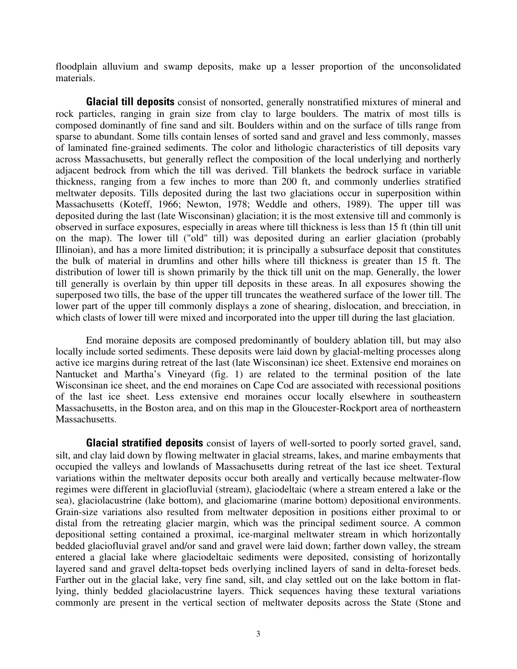floodplain alluvium and swamp deposits, make up a lesser proportion of the unconsolidated materials.

**Glacial till deposits** consist of nonsorted, generally nonstratified mixtures of mineral and rock particles, ranging in grain size from clay to large boulders. The matrix of most tills is composed dominantly of fine sand and silt. Boulders within and on the surface of tills range from sparse to abundant. Some tills contain lenses of sorted sand and gravel and less commonly, masses of laminated fine-grained sediments. The color and lithologic characteristics of till deposits vary across Massachusetts, but generally reflect the composition of the local underlying and northerly adjacent bedrock from which the till was derived. Till blankets the bedrock surface in variable thickness, ranging from a few inches to more than 200 ft, and commonly underlies stratified meltwater deposits. Tills deposited during the last two glaciations occur in superposition within Massachusetts (Koteff, 1966; Newton, 1978; Weddle and others, 1989). The upper till was deposited during the last (late Wisconsinan) glaciation; it is the most extensive till and commonly is observed in surface exposures, especially in areas where till thickness is less than 15 ft (thin till unit on the map). The lower till ("old" till) was deposited during an earlier glaciation (probably Illinoian), and has a more limited distribution; it is principally a subsurface deposit that constitutes the bulk of material in drumlins and other hills where till thickness is greater than 15 ft. The distribution of lower till is shown primarily by the thick till unit on the map. Generally, the lower till generally is overlain by thin upper till deposits in these areas. In all exposures showing the superposed two tills, the base of the upper till truncates the weathered surface of the lower till. The lower part of the upper till commonly displays a zone of shearing, dislocation, and brecciation, in which clasts of lower till were mixed and incorporated into the upper till during the last glaciation.

End moraine deposits are composed predominantly of bouldery ablation till, but may also locally include sorted sediments. These deposits were laid down by glacial-melting processes along active ice margins during retreat of the last (late Wisconsinan) ice sheet. Extensive end moraines on Nantucket and Martha's Vineyard (fig. 1) are related to the terminal position of the late Wisconsinan ice sheet, and the end moraines on Cape Cod are associated with recessional positions of the last ice sheet. Less extensive end moraines occur locally elsewhere in southeastern Massachusetts, in the Boston area, and on this map in the Gloucester-Rockport area of northeastern Massachusetts.

**Glacial stratified deposits** consist of layers of well-sorted to poorly sorted gravel, sand, silt, and clay laid down by flowing meltwater in glacial streams, lakes, and marine embayments that occupied the valleys and lowlands of Massachusetts during retreat of the last ice sheet. Textural variations within the meltwater deposits occur both areally and vertically because meltwater-flow regimes were different in glaciofluvial (stream), glaciodeltaic (where a stream entered a lake or the sea), glaciolacustrine (lake bottom), and glaciomarine (marine bottom) depositional environments. Grain-size variations also resulted from meltwater deposition in positions either proximal to or distal from the retreating glacier margin, which was the principal sediment source. A common depositional setting contained a proximal, ice-marginal meltwater stream in which horizontally bedded glaciofluvial gravel and/or sand and gravel were laid down; farther down valley, the stream entered a glacial lake where glaciodeltaic sediments were deposited, consisting of horizontally layered sand and gravel delta-topset beds overlying inclined layers of sand in delta-foreset beds. Farther out in the glacial lake, very fine sand, silt, and clay settled out on the lake bottom in flatlying, thinly bedded glaciolacustrine layers. Thick sequences having these textural variations commonly are present in the vertical section of meltwater deposits across the State (Stone and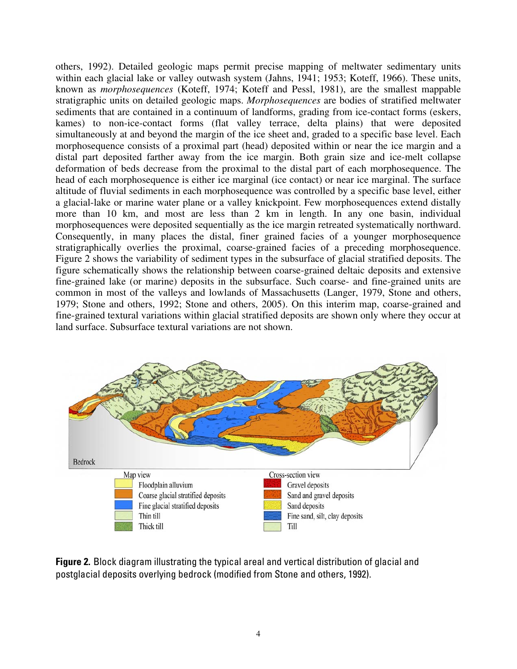others, 1992). Detailed geologic maps permit precise mapping of meltwater sedimentary units within each glacial lake or valley outwash system (Jahns, 1941; 1953; Koteff, 1966). These units, known as *morphosequences* (Koteff, 1974; Koteff and Pessl, 1981), are the smallest mappable stratigraphic units on detailed geologic maps. *Morphosequences* are bodies of stratified meltwater sediments that are contained in a continuum of landforms, grading from ice-contact forms (eskers, kames) to non-ice-contact forms (flat valley terrace, delta plains) that were deposited simultaneously at and beyond the margin of the ice sheet and, graded to a specific base level. Each morphosequence consists of a proximal part (head) deposited within or near the ice margin and a distal part deposited farther away from the ice margin. Both grain size and ice-melt collapse deformation of beds decrease from the proximal to the distal part of each morphosequence. The head of each morphosequence is either ice marginal (ice contact) or near ice marginal. The surface altitude of fluvial sediments in each morphosequence was controlled by a specific base level, either a glacial-lake or marine water plane or a valley knickpoint. Few morphosequences extend distally more than 10 km, and most are less than 2 km in length. In any one basin, individual morphosequences were deposited sequentially as the ice margin retreated systematically northward. Consequently, in many places the distal, finer grained facies of a younger morphosequence stratigraphically overlies the proximal, coarse-grained facies of a preceding morphosequence. Figure 2 shows the variability of sediment types in the subsurface of glacial stratified deposits. The figure schematically shows the relationship between coarse-grained deltaic deposits and extensive fine-grained lake (or marine) deposits in the subsurface. Such coarse- and fine-grained units are common in most of the valleys and lowlands of Massachusetts (Langer, 1979, Stone and others, 1979; Stone and others, 1992; Stone and others, 2005). On this interim map, coarse-grained and fine-grained textural variations within glacial stratified deposits are shown only where they occur at land surface. Subsurface textural variations are not shown.



**Figure 2.** Block diagram illustrating the typical areal and vertical distribution of glacial and postglacial deposits overlying bedrock (modified from Stone and others, 1992).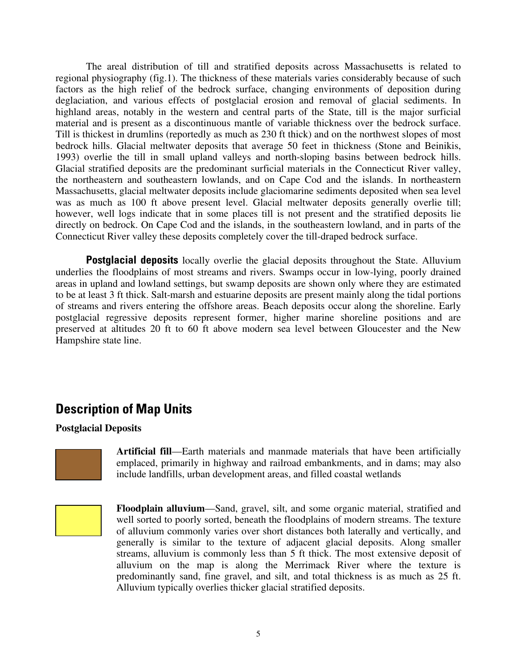The areal distribution of till and stratified deposits across Massachusetts is related to regional physiography (fig.1). The thickness of these materials varies considerably because of such factors as the high relief of the bedrock surface, changing environments of deposition during deglaciation, and various effects of postglacial erosion and removal of glacial sediments. In highland areas, notably in the western and central parts of the State, till is the major surficial material and is present as a discontinuous mantle of variable thickness over the bedrock surface. Till is thickest in drumlins (reportedly as much as 230 ft thick) and on the northwest slopes of most bedrock hills. Glacial meltwater deposits that average 50 feet in thickness (Stone and Beinikis, 1993) overlie the till in small upland valleys and north-sloping basins between bedrock hills. Glacial stratified deposits are the predominant surficial materials in the Connecticut River valley, the northeastern and southeastern lowlands, and on Cape Cod and the islands. In northeastern Massachusetts, glacial meltwater deposits include glaciomarine sediments deposited when sea level was as much as 100 ft above present level. Glacial meltwater deposits generally overlie till; however, well logs indicate that in some places till is not present and the stratified deposits lie directly on bedrock. On Cape Cod and the islands, in the southeastern lowland, and in parts of the Connecticut River valley these deposits completely cover the till-draped bedrock surface.

**Postglacial deposits** locally overlie the glacial deposits throughout the State. Alluvium underlies the floodplains of most streams and rivers. Swamps occur in low-lying, poorly drained areas in upland and lowland settings, but swamp deposits are shown only where they are estimated to be at least 3 ft thick. Salt-marsh and estuarine deposits are present mainly along the tidal portions of streams and rivers entering the offshore areas. Beach deposits occur along the shoreline. Early postglacial regressive deposits represent former, higher marine shoreline positions and are preserved at altitudes 20 ft to 60 ft above modern sea level between Gloucester and the New Hampshire state line.

### **Description of Map Units**

### **Postglacial Deposits**



**Artificial fill**—Earth materials and manmade materials that have been artificially emplaced, primarily in highway and railroad embankments, and in dams; may also include landfills, urban development areas, and filled coastal wetlands

**Floodplain alluvium**—Sand, gravel, silt, and some organic material, stratified and well sorted to poorly sorted, beneath the floodplains of modern streams. The texture of alluvium commonly varies over short distances both laterally and vertically, and generally is similar to the texture of adjacent glacial deposits. Along smaller streams, alluvium is commonly less than 5 ft thick. The most extensive deposit of alluvium on the map is along the Merrimack River where the texture is predominantly sand, fine gravel, and silt, and total thickness is as much as 25 ft. Alluvium typically overlies thicker glacial stratified deposits.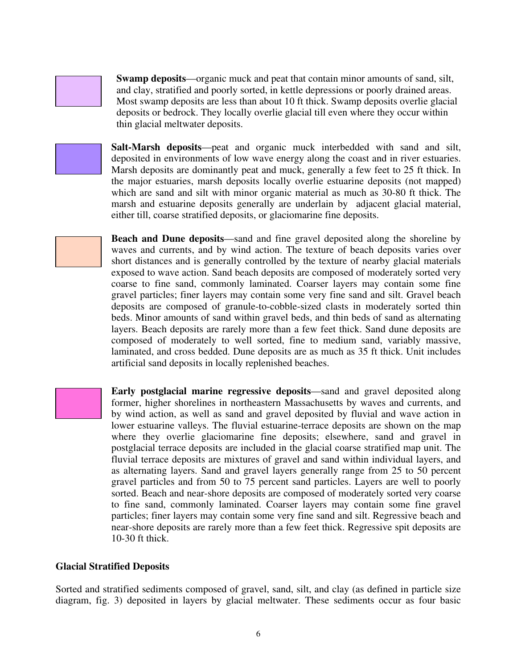

**Swamp deposits**—organic muck and peat that contain minor amounts of sand, silt, and clay, stratified and poorly sorted, in kettle depressions or poorly drained areas. Most swamp deposits are less than about 10 ft thick. Swamp deposits overlie glacial deposits or bedrock. They locally overlie glacial till even where they occur within thin glacial meltwater deposits.



**Salt-Marsh deposits**—peat and organic muck interbedded with sand and silt, deposited in environments of low wave energy along the coast and in river estuaries. Marsh deposits are dominantly peat and muck, generally a few feet to 25 ft thick. In the major estuaries, marsh deposits locally overlie estuarine deposits (not mapped) which are sand and silt with minor organic material as much as 30-80 ft thick. The marsh and estuarine deposits generally are underlain by adjacent glacial material, either till, coarse stratified deposits, or glaciomarine fine deposits.

**Beach and Dune deposits**—sand and fine gravel deposited along the shoreline by waves and currents, and by wind action. The texture of beach deposits varies over short distances and is generally controlled by the texture of nearby glacial materials exposed to wave action. Sand beach deposits are composed of moderately sorted very coarse to fine sand, commonly laminated. Coarser layers may contain some fine gravel particles; finer layers may contain some very fine sand and silt. Gravel beach deposits are composed of granule-to-cobble-sized clasts in moderately sorted thin beds. Minor amounts of sand within gravel beds, and thin beds of sand as alternating layers. Beach deposits are rarely more than a few feet thick. Sand dune deposits are composed of moderately to well sorted, fine to medium sand, variably massive, laminated, and cross bedded. Dune deposits are as much as 35 ft thick. Unit includes artificial sand deposits in locally replenished beaches.

**Early postglacial marine regressive deposits**—sand and gravel deposited along former, higher shorelines in northeastern Massachusetts by waves and currents, and by wind action, as well as sand and gravel deposited by fluvial and wave action in lower estuarine valleys. The fluvial estuarine-terrace deposits are shown on the map where they overlie glaciomarine fine deposits; elsewhere, sand and gravel in postglacial terrace deposits are included in the glacial coarse stratified map unit. The fluvial terrace deposits are mixtures of gravel and sand within individual layers, and as alternating layers. Sand and gravel layers generally range from 25 to 50 percent gravel particles and from 50 to 75 percent sand particles. Layers are well to poorly sorted. Beach and near-shore deposits are composed of moderately sorted very coarse to fine sand, commonly laminated. Coarser layers may contain some fine gravel particles; finer layers may contain some very fine sand and silt. Regressive beach and near-shore deposits are rarely more than a few feet thick. Regressive spit deposits are 10-30 ft thick.

### **Glacial Stratified Deposits**

Sorted and stratified sediments composed of gravel, sand, silt, and clay (as defined in particle size diagram, fig. 3) deposited in layers by glacial meltwater. These sediments occur as four basic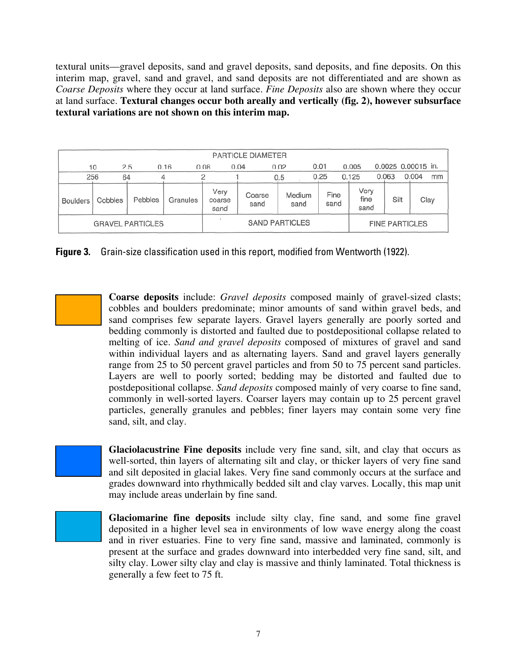textural units—gravel deposits, sand and gravel deposits, sand deposits, and fine deposits. On this interim map, gravel, sand and gravel, and sand deposits are not differentiated and are shown as *Coarse Deposits* where they occur at land surface. *Fine Deposits* also are shown where they occur at land surface. **Textural changes occur both areally and vertically (fig. 2), however subsurface textural variations are not shown on this interim map.** 

| <b>PARTICLE DIAMETER</b> |         |         |                       |                        |                |      |                |                       |       |                      |                    |       |      |
|--------------------------|---------|---------|-----------------------|------------------------|----------------|------|----------------|-----------------------|-------|----------------------|--------------------|-------|------|
|                          | 10      | 2.5     | 0.16                  | 0.08                   | 0.04           | 0.02 |                | 0.01                  | 0.005 |                      | 0.0025 0.00015 in. |       |      |
| 256                      | 64      |         |                       |                        |                |      | 0.5            | 0.25                  | 0.125 |                      | 0.063              | 0.004 | mm   |
| <b>Boulders</b>          | Cobbles | Pebbles | Granules              | Very<br>coarse<br>sand | Coarse<br>sand |      | Medium<br>sand | Fine<br>sand          |       | Very<br>fine<br>sand | Silt               |       | Clay |
| <b>GRAVEL PARTICLES</b>  |         |         | <b>SAND PARTICLES</b> |                        |                |      |                | <b>FINE PARTICLES</b> |       |                      |                    |       |      |

**Figure 3.** Grain-size classification used in this report, modified from Wentworth (1922).

**Coarse deposits** include: *Gravel deposits* composed mainly of gravel-sized clasts; cobbles and boulders predominate; minor amounts of sand within gravel beds, and sand comprises few separate layers. Gravel layers generally are poorly sorted and bedding commonly is distorted and faulted due to postdepositional collapse related to melting of ice. *Sand and gravel deposits* composed of mixtures of gravel and sand within individual layers and as alternating layers. Sand and gravel layers generally range from 25 to 50 percent gravel particles and from 50 to 75 percent sand particles. Layers are well to poorly sorted; bedding may be distorted and faulted due to postdepositional collapse. *Sand deposits* composed mainly of very coarse to fine sand, commonly in well-sorted layers. Coarser layers may contain up to 25 percent gravel particles, generally granules and pebbles; finer layers may contain some very fine sand, silt, and clay.

**Glaciolacustrine Fine deposits** include very fine sand, silt, and clay that occurs as well-sorted, thin layers of alternating silt and clay, or thicker layers of very fine sand and silt deposited in glacial lakes. Very fine sand commonly occurs at the surface and grades downward into rhythmically bedded silt and clay varves. Locally, this map unit may include areas underlain by fine sand.



**Glaciomarine fine deposits** include silty clay, fine sand, and some fine gravel deposited in a higher level sea in environments of low wave energy along the coast and in river estuaries. Fine to very fine sand, massive and laminated, commonly is present at the surface and grades downward into interbedded very fine sand, silt, and silty clay. Lower silty clay and clay is massive and thinly laminated. Total thickness is generally a few feet to 75 ft.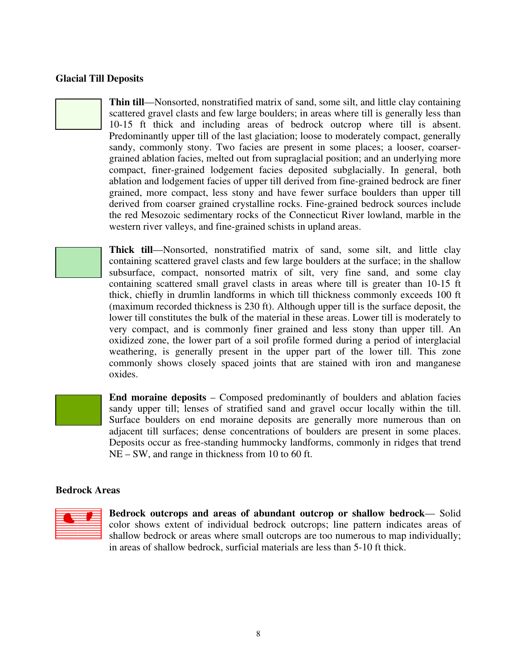#### **Glacial Till Deposits**

**Thin till**—Nonsorted, nonstratified matrix of sand, some silt, and little clay containing scattered gravel clasts and few large boulders; in areas where till is generally less than 10-15 ft thick and including areas of bedrock outcrop where till is absent. Predominantly upper till of the last glaciation; loose to moderately compact, generally sandy, commonly stony. Two facies are present in some places; a looser, coarsergrained ablation facies, melted out from supraglacial position; and an underlying more compact, finer-grained lodgement facies deposited subglacially. In general, both ablation and lodgement facies of upper till derived from fine-grained bedrock are finer grained, more compact, less stony and have fewer surface boulders than upper till derived from coarser grained crystalline rocks. Fine-grained bedrock sources include the red Mesozoic sedimentary rocks of the Connecticut River lowland, marble in the western river valleys, and fine-grained schists in upland areas.

**Thick till**—Nonsorted, nonstratified matrix of sand, some silt, and little clay containing scattered gravel clasts and few large boulders at the surface; in the shallow subsurface, compact, nonsorted matrix of silt, very fine sand, and some clay containing scattered small gravel clasts in areas where till is greater than 10-15 ft thick, chiefly in drumlin landforms in which till thickness commonly exceeds 100 ft (maximum recorded thickness is 230 ft). Although upper till is the surface deposit, the lower till constitutes the bulk of the material in these areas. Lower till is moderately to very compact, and is commonly finer grained and less stony than upper till. An oxidized zone, the lower part of a soil profile formed during a period of interglacial weathering, is generally present in the upper part of the lower till. This zone commonly shows closely spaced joints that are stained with iron and manganese oxides.

**End moraine deposits** – Composed predominantly of boulders and ablation facies sandy upper till; lenses of stratified sand and gravel occur locally within the till. Surface boulders on end moraine deposits are generally more numerous than on adjacent till surfaces; dense concentrations of boulders are present in some places. Deposits occur as free-standing hummocky landforms, commonly in ridges that trend NE – SW, and range in thickness from 10 to 60 ft.

#### **Bedrock Areas**



**Bedrock outcrops and areas of abundant outcrop or shallow bedrock**— Solid color shows extent of individual bedrock outcrops; line pattern indicates areas of shallow bedrock or areas where small outcrops are too numerous to map individually; in areas of shallow bedrock, surficial materials are less than 5-10 ft thick.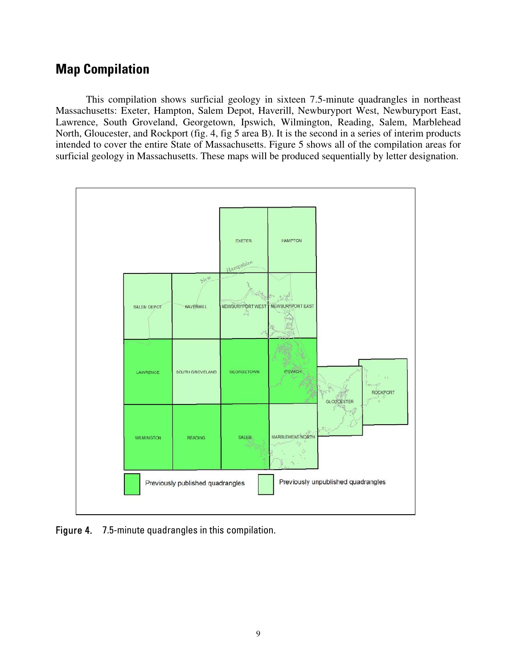### **Map Compilation**

This compilation shows surficial geology in sixteen 7.5-minute quadrangles in northeast Massachusetts: Exeter, Hampton, Salem Depot, Haverill, Newburyport West, Newburyport East, Lawrence, South Groveland, Georgetown, Ipswich, Wilmington, Reading, Salem, Marblehead North, Gloucester, and Rockport (fig. 4, fig 5 area B). It is the second in a series of interim products intended to cover the entire State of Massachusetts. Figure 5 shows all of the compilation areas for surficial geology in Massachusetts. These maps will be produced sequentially by letter designation.



Figure 4. 7.5-minute quadrangles in this compilation.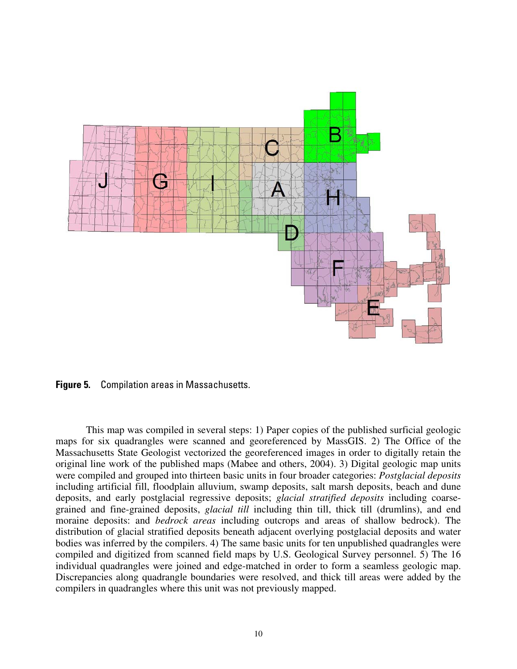

**Figure 5.** Compilation areas in Massachusetts.

This map was compiled in several steps: 1) Paper copies of the published surficial geologic maps for six quadrangles were scanned and georeferenced by MassGIS. 2) The Office of the Massachusetts State Geologist vectorized the georeferenced images in order to digitally retain the original line work of the published maps (Mabee and others, 2004). 3) Digital geologic map units were compiled and grouped into thirteen basic units in four broader categories: *Postglacial deposits*  including artificial fill, floodplain alluvium, swamp deposits, salt marsh deposits, beach and dune deposits, and early postglacial regressive deposits; *glacial stratified deposits* including coarsegrained and fine-grained deposits, *glacial till* including thin till, thick till (drumlins), and end moraine deposits: and *bedrock areas* including outcrops and areas of shallow bedrock). The distribution of glacial stratified deposits beneath adjacent overlying postglacial deposits and water bodies was inferred by the compilers. 4) The same basic units for ten unpublished quadrangles were compiled and digitized from scanned field maps by U.S. Geological Survey personnel. 5) The 16 individual quadrangles were joined and edge-matched in order to form a seamless geologic map. Discrepancies along quadrangle boundaries were resolved, and thick till areas were added by the compilers in quadrangles where this unit was not previously mapped.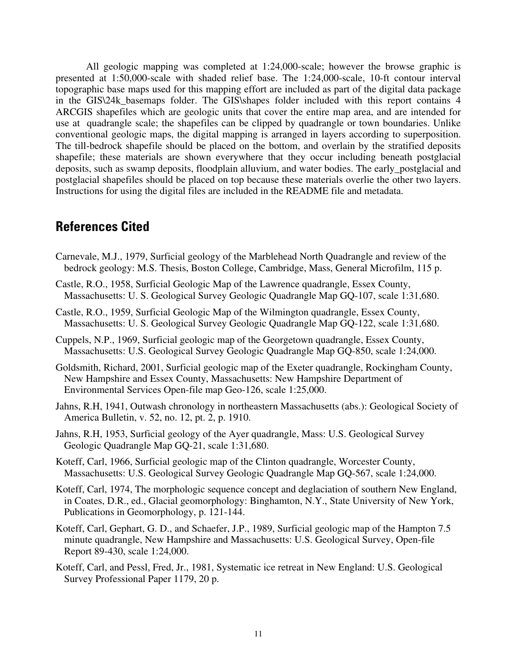All geologic mapping was completed at 1:24,000-scale; however the browse graphic is presented at 1:50,000-scale with shaded relief base. The 1:24,000-scale, 10-ft contour interval topographic base maps used for this mapping effort are included as part of the digital data package in the GIS\24k basemaps folder. The GIS\shapes folder included with this report contains 4 ARCGIS shapefiles which are geologic units that cover the entire map area, and are intended for use at quadrangle scale; the shapefiles can be clipped by quadrangle or town boundaries. Unlike conventional geologic maps, the digital mapping is arranged in layers according to superposition. The till-bedrock shapefile should be placed on the bottom, and overlain by the stratified deposits shapefile; these materials are shown everywhere that they occur including beneath postglacial deposits, such as swamp deposits, floodplain alluvium, and water bodies. The early\_postglacial and postglacial shapefiles should be placed on top because these materials overlie the other two layers. Instructions for using the digital files are included in the README file and metadata.

### **References Cited**

- Carnevale, M.J., 1979, Surficial geology of the Marblehead North Quadrangle and review of the bedrock geology: M.S. Thesis, Boston College, Cambridge, Mass, General Microfilm, 115 p.
- Castle, R.O., 1958, Surficial Geologic Map of the Lawrence quadrangle, Essex County, Massachusetts: U. S. Geological Survey Geologic Quadrangle Map GQ-107, scale 1:31,680.
- Castle, R.O., 1959, Surficial Geologic Map of the Wilmington quadrangle, Essex County, Massachusetts: U. S. Geological Survey Geologic Quadrangle Map GQ-122, scale 1:31,680.
- Cuppels, N.P., 1969, Surficial geologic map of the Georgetown quadrangle, Essex County, Massachusetts: U.S. Geological Survey Geologic Quadrangle Map GQ-850, scale 1:24,000.
- Goldsmith, Richard, 2001, Surficial geologic map of the Exeter quadrangle, Rockingham County, New Hampshire and Essex County, Massachusetts: New Hampshire Department of Environmental Services Open-file map Geo-126, scale 1:25,000.
- Jahns, R.H, 1941, Outwash chronology in northeastern Massachusetts (abs.): Geological Society of America Bulletin, v. 52, no. 12, pt. 2, p. 1910.
- Jahns, R.H, 1953, Surficial geology of the Ayer quadrangle, Mass: U.S. Geological Survey Geologic Quadrangle Map GQ-21, scale 1:31,680.
- Koteff, Carl, 1966, Surficial geologic map of the Clinton quadrangle, Worcester County, Massachusetts: U.S. Geological Survey Geologic Quadrangle Map GQ-567, scale 1:24,000.
- Koteff, Carl, 1974, The morphologic sequence concept and deglaciation of southern New England, in Coates, D.R., ed., Glacial geomorphology: Binghamton, N.Y., State University of New York, Publications in Geomorphology, p. 121-144.
- Koteff, Carl, Gephart, G. D., and Schaefer, J.P., 1989, Surficial geologic map of the Hampton 7.5 minute quadrangle, New Hampshire and Massachusetts: U.S. Geological Survey, Open-file Report 89-430, scale 1:24,000.
- Koteff, Carl, and Pessl, Fred, Jr., 1981, Systematic ice retreat in New England: U.S. Geological Survey Professional Paper 1179, 20 p.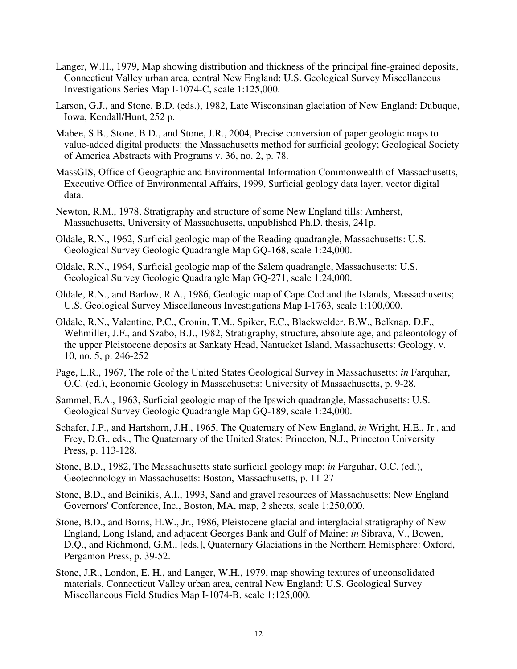- Langer, W.H., 1979, Map showing distribution and thickness of the principal fine-grained deposits, Connecticut Valley urban area, central New England: U.S. Geological Survey Miscellaneous Investigations Series Map I-1074-C, scale 1:125,000.
- Larson, G.J., and Stone, B.D. (eds.), 1982, Late Wisconsinan glaciation of New England: Dubuque, Iowa, Kendall/Hunt, 252 p.
- Mabee, S.B., Stone, B.D., and Stone, J.R., 2004, Precise conversion of paper geologic maps to value-added digital products: the Massachusetts method for surficial geology; Geological Society of America Abstracts with Programs v. 36, no. 2, p. 78.
- MassGIS, Office of Geographic and Environmental Information Commonwealth of Massachusetts, Executive Office of Environmental Affairs, 1999, Surficial geology data layer, vector digital data.
- Newton, R.M., 1978, Stratigraphy and structure of some New England tills: Amherst, Massachusetts, University of Massachusetts, unpublished Ph.D. thesis, 241p.
- Oldale, R.N., 1962, Surficial geologic map of the Reading quadrangle, Massachusetts: U.S. Geological Survey Geologic Quadrangle Map GQ-168, scale 1:24,000.
- Oldale, R.N., 1964, Surficial geologic map of the Salem quadrangle, Massachusetts: U.S. Geological Survey Geologic Quadrangle Map GQ-271, scale 1:24,000.
- Oldale, R.N., and Barlow, R.A., 1986, Geologic map of Cape Cod and the Islands, Massachusetts; U.S. Geological Survey Miscellaneous Investigations Map I-1763, scale 1:100,000.
- Oldale, R.N., Valentine, P.C., Cronin, T.M., Spiker, E.C., Blackwelder, B.W., Belknap, D.F., Wehmiller, J.F., and Szabo, B.J., 1982, Stratigraphy, structure, absolute age, and paleontology of the upper Pleistocene deposits at Sankaty Head, Nantucket Island, Massachusetts: Geology, v. 10, no. 5, p. 246-252
- Page, L.R., 1967, The role of the United States Geological Survey in Massachusetts: *in* Farquhar, O.C. (ed.), Economic Geology in Massachusetts: University of Massachusetts, p. 9-28.
- Sammel, E.A., 1963, Surficial geologic map of the Ipswich quadrangle, Massachusetts: U.S. Geological Survey Geologic Quadrangle Map GQ-189, scale 1:24,000.
- Schafer, J.P., and Hartshorn, J.H., 1965, The Quaternary of New England, *in* Wright, H.E., Jr., and Frey, D.G., eds., The Quaternary of the United States: Princeton, N.J., Princeton University Press, p. 113-128.
- Stone, B.D., 1982, The Massachusetts state surficial geology map: *in* Farguhar, O.C. (ed.), Geotechnology in Massachusetts: Boston, Massachusetts, p. 11-27
- Stone, B.D., and Beinikis, A.I., 1993, Sand and gravel resources of Massachusetts; New England Governors' Conference, Inc., Boston, MA, map, 2 sheets, scale 1:250,000.
- Stone, B.D., and Borns, H.W., Jr., 1986, Pleistocene glacial and interglacial stratigraphy of New England, Long Island, and adjacent Georges Bank and Gulf of Maine: *in* Sibrava, V., Bowen, D.Q., and Richmond, G.M., [eds.], Quaternary Glaciations in the Northern Hemisphere: Oxford, Pergamon Press, p. 39-52.
- Stone, J.R., London, E. H., and Langer, W.H., 1979, map showing textures of unconsolidated materials, Connecticut Valley urban area, central New England: U.S. Geological Survey Miscellaneous Field Studies Map I-1074-B, scale 1:125,000.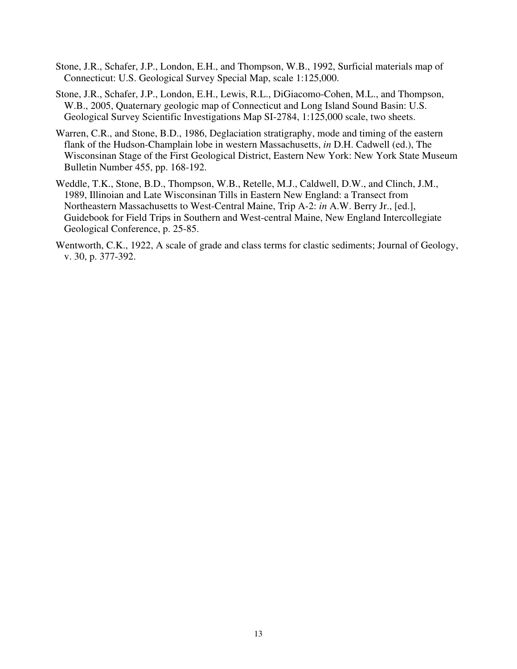- Stone, J.R., Schafer, J.P., London, E.H., and Thompson, W.B., 1992, Surficial materials map of Connecticut: U.S. Geological Survey Special Map, scale 1:125,000.
- Stone, J.R., Schafer, J.P., London, E.H., Lewis, R.L., DiGiacomo-Cohen, M.L., and Thompson, W.B., 2005, Quaternary geologic map of Connecticut and Long Island Sound Basin: U.S. Geological Survey Scientific Investigations Map SI-2784, 1:125,000 scale, two sheets.
- Warren, C.R., and Stone, B.D., 1986, Deglaciation stratigraphy, mode and timing of the eastern flank of the Hudson-Champlain lobe in western Massachusetts, *in* D.H. Cadwell (ed.), The Wisconsinan Stage of the First Geological District, Eastern New York: New York State Museum Bulletin Number 455, pp. 168-192.
- Weddle, T.K., Stone, B.D., Thompson, W.B., Retelle, M.J., Caldwell, D.W., and Clinch, J.M., 1989, Illinoian and Late Wisconsinan Tills in Eastern New England: a Transect from Northeastern Massachusetts to West-Central Maine, Trip A-2: *in* A.W. Berry Jr., [ed.], Guidebook for Field Trips in Southern and West-central Maine, New England Intercollegiate Geological Conference, p. 25-85.
- Wentworth, C.K., 1922, A scale of grade and class terms for clastic sediments; Journal of Geology, v. 30, p. 377-392.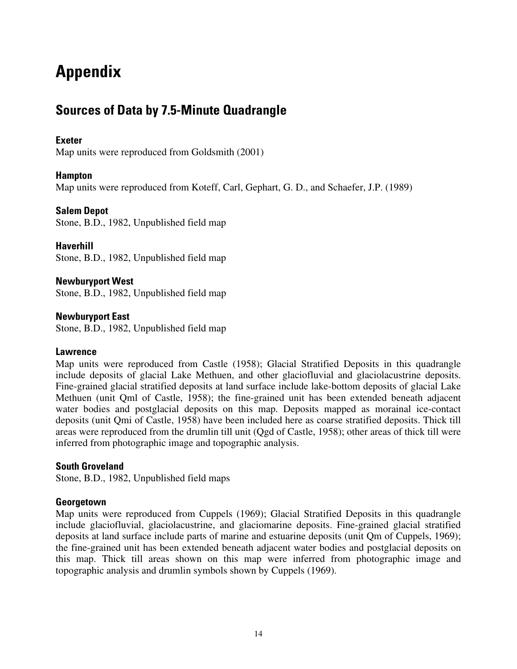# **Appendix**

### **Sources of Data by 7.5-Minute Quadrangle**

### **Exeter**

Map units were reproduced from Goldsmith (2001)

### **Hampton**

Map units were reproduced from Koteff, Carl, Gephart, G. D., and Schaefer, J.P. (1989)

### **Salem Depot**

Stone, B.D., 1982, Unpublished field map

**Haverhill**  Stone, B.D., 1982, Unpublished field map

**Newburyport West**  Stone, B.D., 1982, Unpublished field map

**Newburyport East**  Stone, B.D., 1982, Unpublished field map

### **Lawrence**

Map units were reproduced from Castle (1958); Glacial Stratified Deposits in this quadrangle include deposits of glacial Lake Methuen, and other glaciofluvial and glaciolacustrine deposits. Fine-grained glacial stratified deposits at land surface include lake-bottom deposits of glacial Lake Methuen (unit Qml of Castle, 1958); the fine-grained unit has been extended beneath adjacent water bodies and postglacial deposits on this map. Deposits mapped as morainal ice-contact deposits (unit Qmi of Castle, 1958) have been included here as coarse stratified deposits. Thick till areas were reproduced from the drumlin till unit (Qgd of Castle, 1958); other areas of thick till were inferred from photographic image and topographic analysis.

### **South Groveland**

Stone, B.D., 1982, Unpublished field maps

### **Georgetown**

Map units were reproduced from Cuppels (1969); Glacial Stratified Deposits in this quadrangle include glaciofluvial, glaciolacustrine, and glaciomarine deposits. Fine-grained glacial stratified deposits at land surface include parts of marine and estuarine deposits (unit Qm of Cuppels, 1969); the fine-grained unit has been extended beneath adjacent water bodies and postglacial deposits on this map. Thick till areas shown on this map were inferred from photographic image and topographic analysis and drumlin symbols shown by Cuppels (1969).